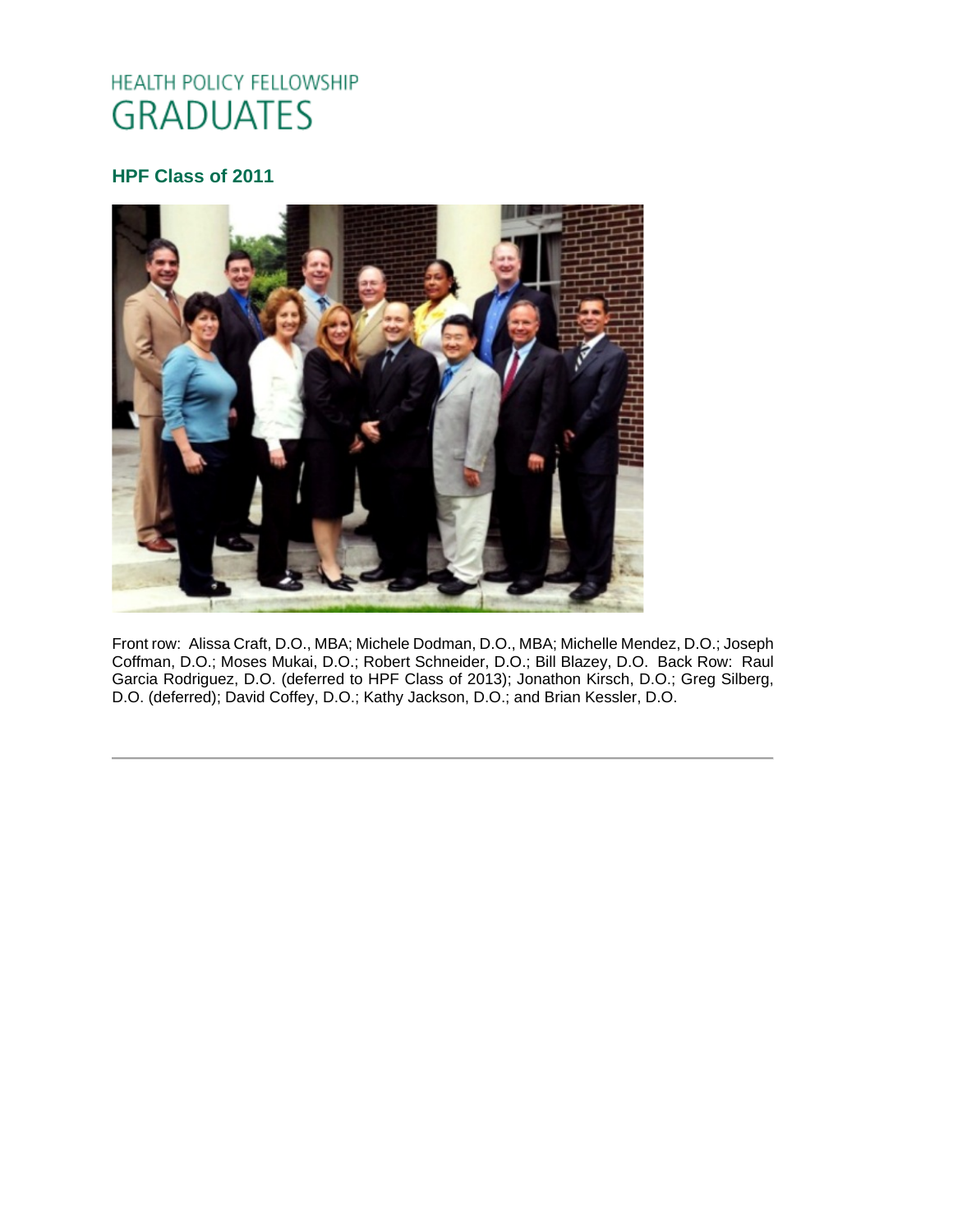# HEALTH POLICY FELLOWSHIP **GRADUATES**

# **HPF Class of 2011**



Front row: Alissa Craft, D.O., MBA; Michele Dodman, D.O., MBA; Michelle Mendez, D.O.; Joseph Coffman, D.O.; Moses Mukai, D.O.; Robert Schneider, D.O.; Bill Blazey, D.O. Back Row: Raul Garcia Rodriguez, D.O. (deferred to HPF Class of 2013); Jonathon Kirsch, D.O.; Greg Silberg, D.O. (deferred); David Coffey, D.O.; Kathy Jackson, D.O.; and Brian Kessler, D.O.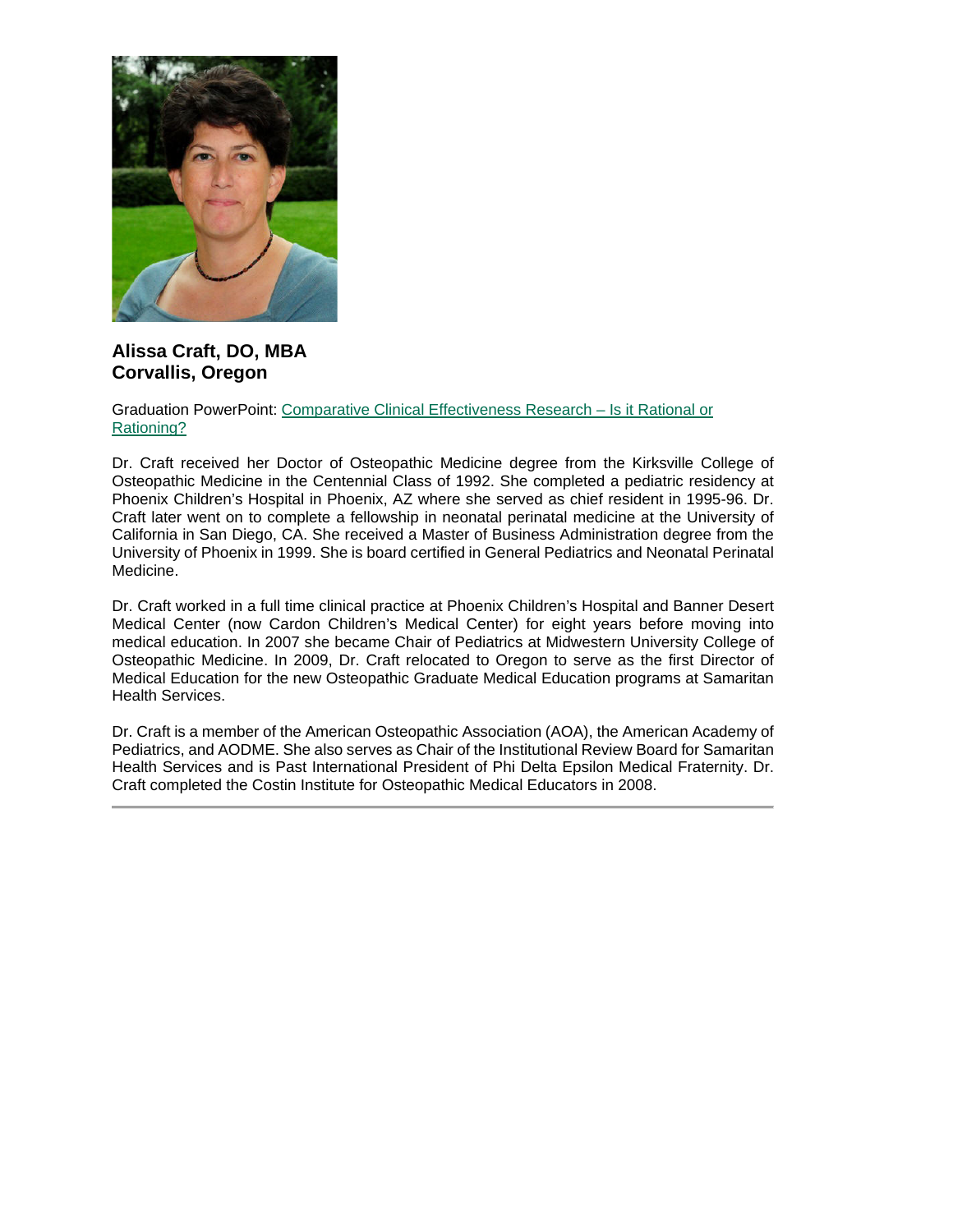

## **Alissa Craft, DO, MBA Corvallis, Oregon**

Graduation PowerPoint: [Comparative Clinical Effectiveness Research –](https://ohio.box.com/s/ug6irvcrzapcam8sfd95w8sta2ezsx3p) Is it Rational or [Rationing?](https://ohio.box.com/s/ug6irvcrzapcam8sfd95w8sta2ezsx3p)

Dr. Craft received her Doctor of Osteopathic Medicine degree from the Kirksville College of Osteopathic Medicine in the Centennial Class of 1992. She completed a pediatric residency at Phoenix Children's Hospital in Phoenix, AZ where she served as chief resident in 1995-96. Dr. Craft later went on to complete a fellowship in neonatal perinatal medicine at the University of California in San Diego, CA. She received a Master of Business Administration degree from the University of Phoenix in 1999. She is board certified in General Pediatrics and Neonatal Perinatal Medicine.

Dr. Craft worked in a full time clinical practice at Phoenix Children's Hospital and Banner Desert Medical Center (now Cardon Children's Medical Center) for eight years before moving into medical education. In 2007 she became Chair of Pediatrics at Midwestern University College of Osteopathic Medicine. In 2009, Dr. Craft relocated to Oregon to serve as the first Director of Medical Education for the new Osteopathic Graduate Medical Education programs at Samaritan Health Services.

Dr. Craft is a member of the American Osteopathic Association (AOA), the American Academy of Pediatrics, and AODME. She also serves as Chair of the Institutional Review Board for Samaritan Health Services and is Past International President of Phi Delta Epsilon Medical Fraternity. Dr. Craft completed the Costin Institute for Osteopathic Medical Educators in 2008.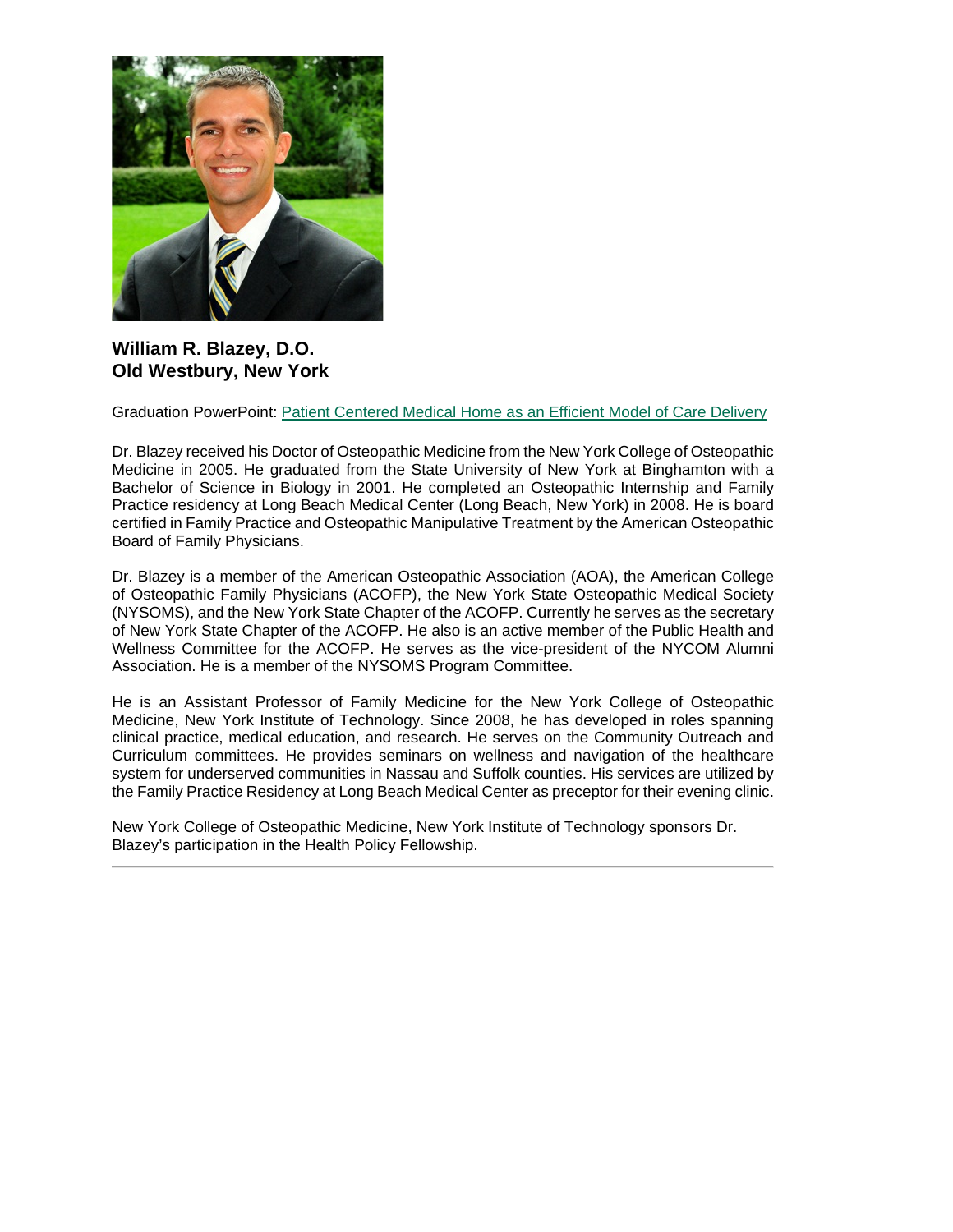

### **William R. Blazey, D.O. Old Westbury, New York**

Graduation PowerPoint: [Patient Centered Medical Home as an Efficient Model of Care Delivery](https://ohio.box.com/s/p5ub2yn9zkqt3m0d7wpmrtnmd6ixyusw)

Dr. Blazey received his Doctor of Osteopathic Medicine from the New York College of Osteopathic Medicine in 2005. He graduated from the State University of New York at Binghamton with a Bachelor of Science in Biology in 2001. He completed an Osteopathic Internship and Family Practice residency at Long Beach Medical Center (Long Beach, New York) in 2008. He is board certified in Family Practice and Osteopathic Manipulative Treatment by the American Osteopathic Board of Family Physicians.

Dr. Blazey is a member of the American Osteopathic Association (AOA), the American College of Osteopathic Family Physicians (ACOFP), the New York State Osteopathic Medical Society (NYSOMS), and the New York State Chapter of the ACOFP. Currently he serves as the secretary of New York State Chapter of the ACOFP. He also is an active member of the Public Health and Wellness Committee for the ACOFP. He serves as the vice-president of the NYCOM Alumni Association. He is a member of the NYSOMS Program Committee.

He is an Assistant Professor of Family Medicine for the New York College of Osteopathic Medicine, New York Institute of Technology. Since 2008, he has developed in roles spanning clinical practice, medical education, and research. He serves on the Community Outreach and Curriculum committees. He provides seminars on wellness and navigation of the healthcare system for underserved communities in Nassau and Suffolk counties. His services are utilized by the Family Practice Residency at Long Beach Medical Center as preceptor for their evening clinic.

New York College of Osteopathic Medicine, New York Institute of Technology sponsors Dr. Blazey's participation in the Health Policy Fellowship.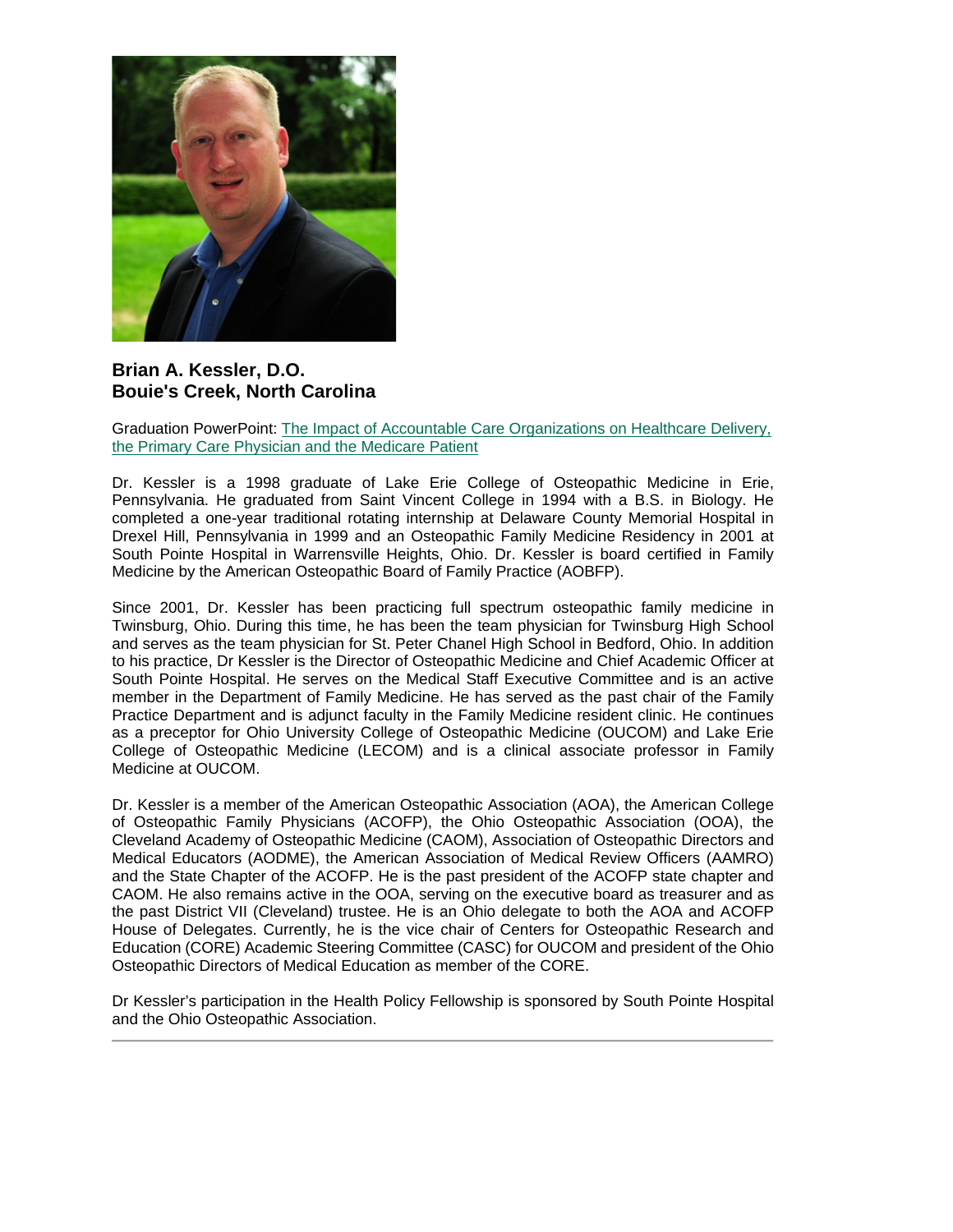

#### **Brian A. Kessler, D.O. Bouie's Creek, North Carolina**

Graduation PowerPoint: [The Impact of Accountable Care Organizations on Healthcare Delivery,](https://ohio.box.com/s/lyf31hl2p11hci0in9ty94nz2knhq7nk)  [the Primary Care Physician and the Medicare Patient](https://ohio.box.com/s/lyf31hl2p11hci0in9ty94nz2knhq7nk)

Dr. Kessler is a 1998 graduate of Lake Erie College of Osteopathic Medicine in Erie, Pennsylvania. He graduated from Saint Vincent College in 1994 with a B.S. in Biology. He completed a one-year traditional rotating internship at Delaware County Memorial Hospital in Drexel Hill, Pennsylvania in 1999 and an Osteopathic Family Medicine Residency in 2001 at South Pointe Hospital in Warrensville Heights, Ohio. Dr. Kessler is board certified in Family Medicine by the American Osteopathic Board of Family Practice (AOBFP).

Since 2001, Dr. Kessler has been practicing full spectrum osteopathic family medicine in Twinsburg, Ohio. During this time, he has been the team physician for Twinsburg High School and serves as the team physician for St. Peter Chanel High School in Bedford, Ohio. In addition to his practice, Dr Kessler is the Director of Osteopathic Medicine and Chief Academic Officer at South Pointe Hospital. He serves on the Medical Staff Executive Committee and is an active member in the Department of Family Medicine. He has served as the past chair of the Family Practice Department and is adjunct faculty in the Family Medicine resident clinic. He continues as a preceptor for Ohio University College of Osteopathic Medicine (OUCOM) and Lake Erie College of Osteopathic Medicine (LECOM) and is a clinical associate professor in Family Medicine at OUCOM.

Dr. Kessler is a member of the American Osteopathic Association (AOA), the American College of Osteopathic Family Physicians (ACOFP), the Ohio Osteopathic Association (OOA), the Cleveland Academy of Osteopathic Medicine (CAOM), Association of Osteopathic Directors and Medical Educators (AODME), the American Association of Medical Review Officers (AAMRO) and the State Chapter of the ACOFP. He is the past president of the ACOFP state chapter and CAOM. He also remains active in the OOA, serving on the executive board as treasurer and as the past District VII (Cleveland) trustee. He is an Ohio delegate to both the AOA and ACOFP House of Delegates. Currently, he is the vice chair of Centers for Osteopathic Research and Education (CORE) Academic Steering Committee (CASC) for OUCOM and president of the Ohio Osteopathic Directors of Medical Education as member of the CORE.

Dr Kessler's participation in the Health Policy Fellowship is sponsored by South Pointe Hospital and the Ohio Osteopathic Association.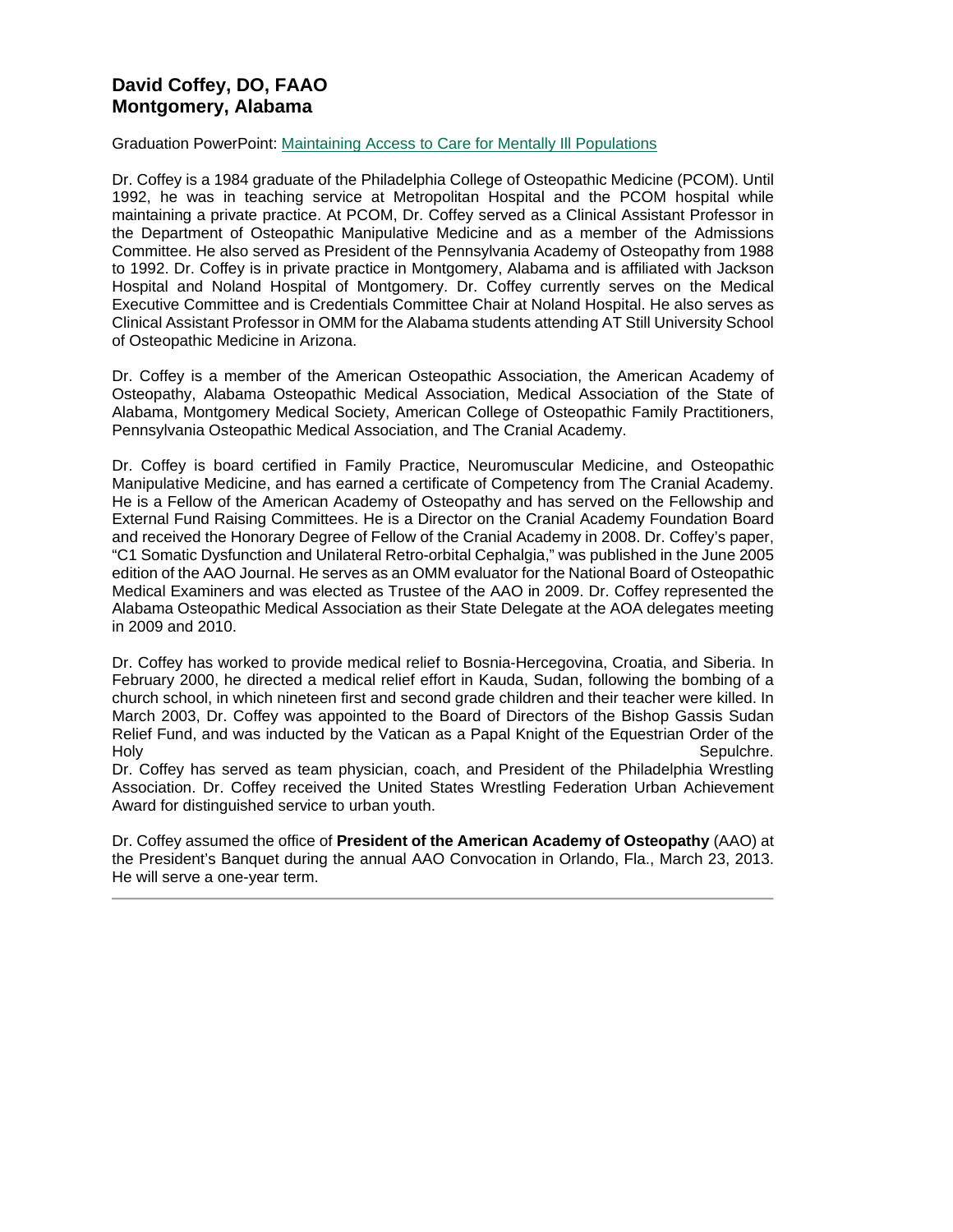## **David Coffey, DO, FAAO Montgomery, Alabama**

#### Graduation PowerPoint: [Maintaining Access to Care for Mentally Ill Populations](https://ohio.box.com/s/gj32h7nis2s8hsvvvhrjm9ujwlc5zqm1)

Dr. Coffey is a 1984 graduate of the Philadelphia College of Osteopathic Medicine (PCOM). Until 1992, he was in teaching service at Metropolitan Hospital and the PCOM hospital while maintaining a private practice. At PCOM, Dr. Coffey served as a Clinical Assistant Professor in the Department of Osteopathic Manipulative Medicine and as a member of the Admissions Committee. He also served as President of the Pennsylvania Academy of Osteopathy from 1988 to 1992. Dr. Coffey is in private practice in Montgomery, Alabama and is affiliated with Jackson Hospital and Noland Hospital of Montgomery. Dr. Coffey currently serves on the Medical Executive Committee and is Credentials Committee Chair at Noland Hospital. He also serves as Clinical Assistant Professor in OMM for the Alabama students attending AT Still University School of Osteopathic Medicine in Arizona.

Dr. Coffey is a member of the American Osteopathic Association, the American Academy of Osteopathy, Alabama Osteopathic Medical Association, Medical Association of the State of Alabama, Montgomery Medical Society, American College of Osteopathic Family Practitioners, Pennsylvania Osteopathic Medical Association, and The Cranial Academy.

Dr. Coffey is board certified in Family Practice, Neuromuscular Medicine, and Osteopathic Manipulative Medicine, and has earned a certificate of Competency from The Cranial Academy. He is a Fellow of the American Academy of Osteopathy and has served on the Fellowship and External Fund Raising Committees. He is a Director on the Cranial Academy Foundation Board and received the Honorary Degree of Fellow of the Cranial Academy in 2008. Dr. Coffey's paper, "C1 Somatic Dysfunction and Unilateral Retro-orbital Cephalgia," was published in the June 2005 edition of the AAO Journal. He serves as an OMM evaluator for the National Board of Osteopathic Medical Examiners and was elected as Trustee of the AAO in 2009. Dr. Coffey represented the Alabama Osteopathic Medical Association as their State Delegate at the AOA delegates meeting in 2009 and 2010.

Dr. Coffey has worked to provide medical relief to Bosnia-Hercegovina, Croatia, and Siberia. In February 2000, he directed a medical relief effort in Kauda, Sudan, following the bombing of a church school, in which nineteen first and second grade children and their teacher were killed. In March 2003, Dr. Coffey was appointed to the Board of Directors of the Bishop Gassis Sudan Relief Fund, and was inducted by the Vatican as a Papal Knight of the Equestrian Order of the<br>Holy Sepulchre. Holy Sepulchre.

Dr. Coffey has served as team physician, coach, and President of the Philadelphia Wrestling Association. Dr. Coffey received the United States Wrestling Federation Urban Achievement Award for distinguished service to urban youth.

Dr. Coffey assumed the office of **President of the American Academy of Osteopathy** (AAO) at the President's Banquet during the annual AAO Convocation in Orlando, Fla., March 23, 2013. He will serve a one-year term.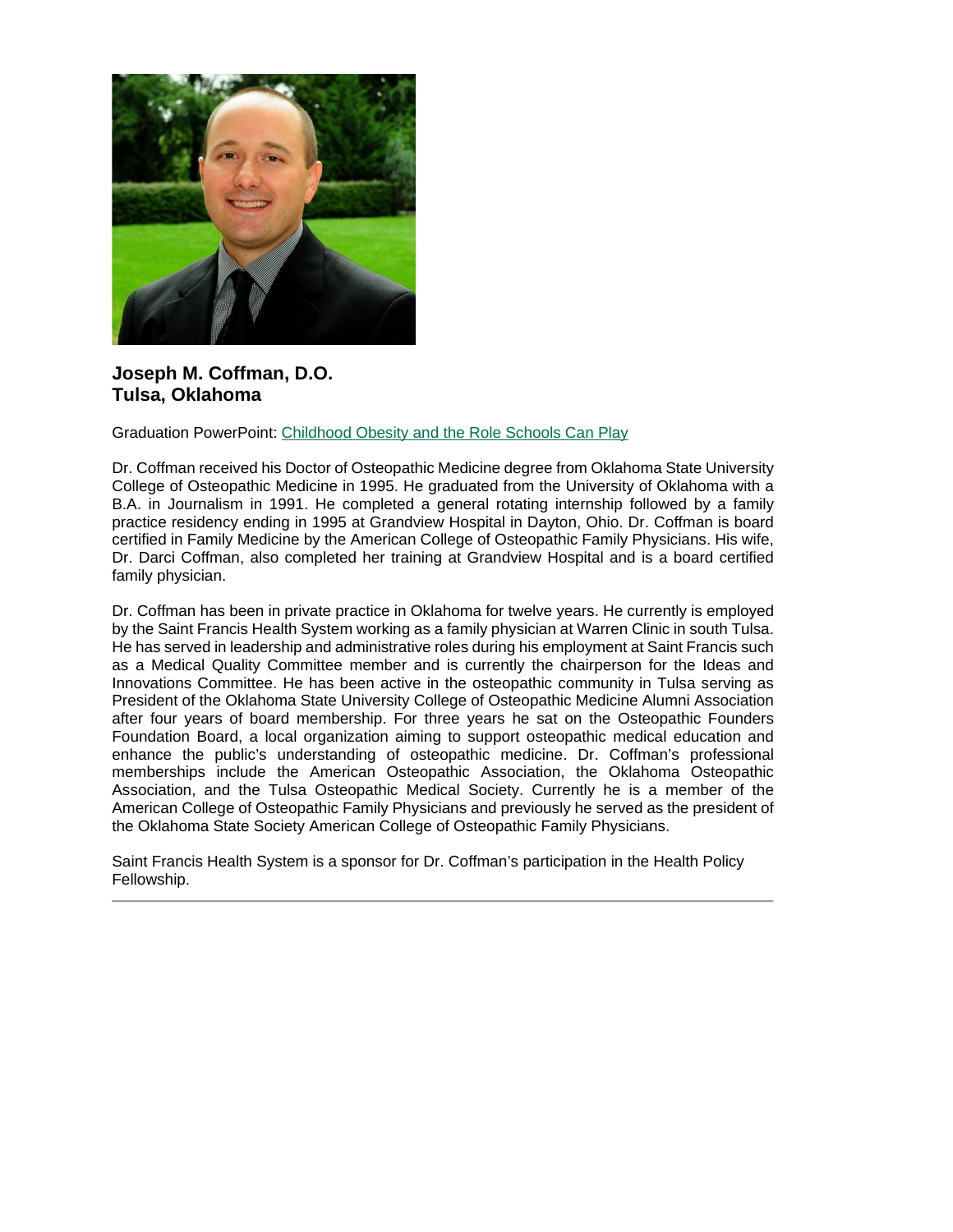

#### **Joseph M. Coffman, D.O. Tulsa, Oklahoma**

Graduation PowerPoint: [Childhood Obesity and the Role Schools Can Play](https://ohio.box.com/s/du1twz4cj3pweapsatoyyrs9qdba30sc)

Dr. Coffman received his Doctor of Osteopathic Medicine degree from Oklahoma State University College of Osteopathic Medicine in 1995. He graduated from the University of Oklahoma with a B.A. in Journalism in 1991. He completed a general rotating internship followed by a family practice residency ending in 1995 at Grandview Hospital in Dayton, Ohio. Dr. Coffman is board certified in Family Medicine by the American College of Osteopathic Family Physicians. His wife, Dr. Darci Coffman, also completed her training at Grandview Hospital and is a board certified family physician.

Dr. Coffman has been in private practice in Oklahoma for twelve years. He currently is employed by the Saint Francis Health System working as a family physician at Warren Clinic in south Tulsa. He has served in leadership and administrative roles during his employment at Saint Francis such as a Medical Quality Committee member and is currently the chairperson for the Ideas and Innovations Committee. He has been active in the osteopathic community in Tulsa serving as President of the Oklahoma State University College of Osteopathic Medicine Alumni Association after four years of board membership. For three years he sat on the Osteopathic Founders Foundation Board, a local organization aiming to support osteopathic medical education and enhance the public's understanding of osteopathic medicine. Dr. Coffman's professional memberships include the American Osteopathic Association, the Oklahoma Osteopathic Association, and the Tulsa Osteopathic Medical Society. Currently he is a member of the American College of Osteopathic Family Physicians and previously he served as the president of the Oklahoma State Society American College of Osteopathic Family Physicians.

Saint Francis Health System is a sponsor for Dr. Coffman's participation in the Health Policy Fellowship.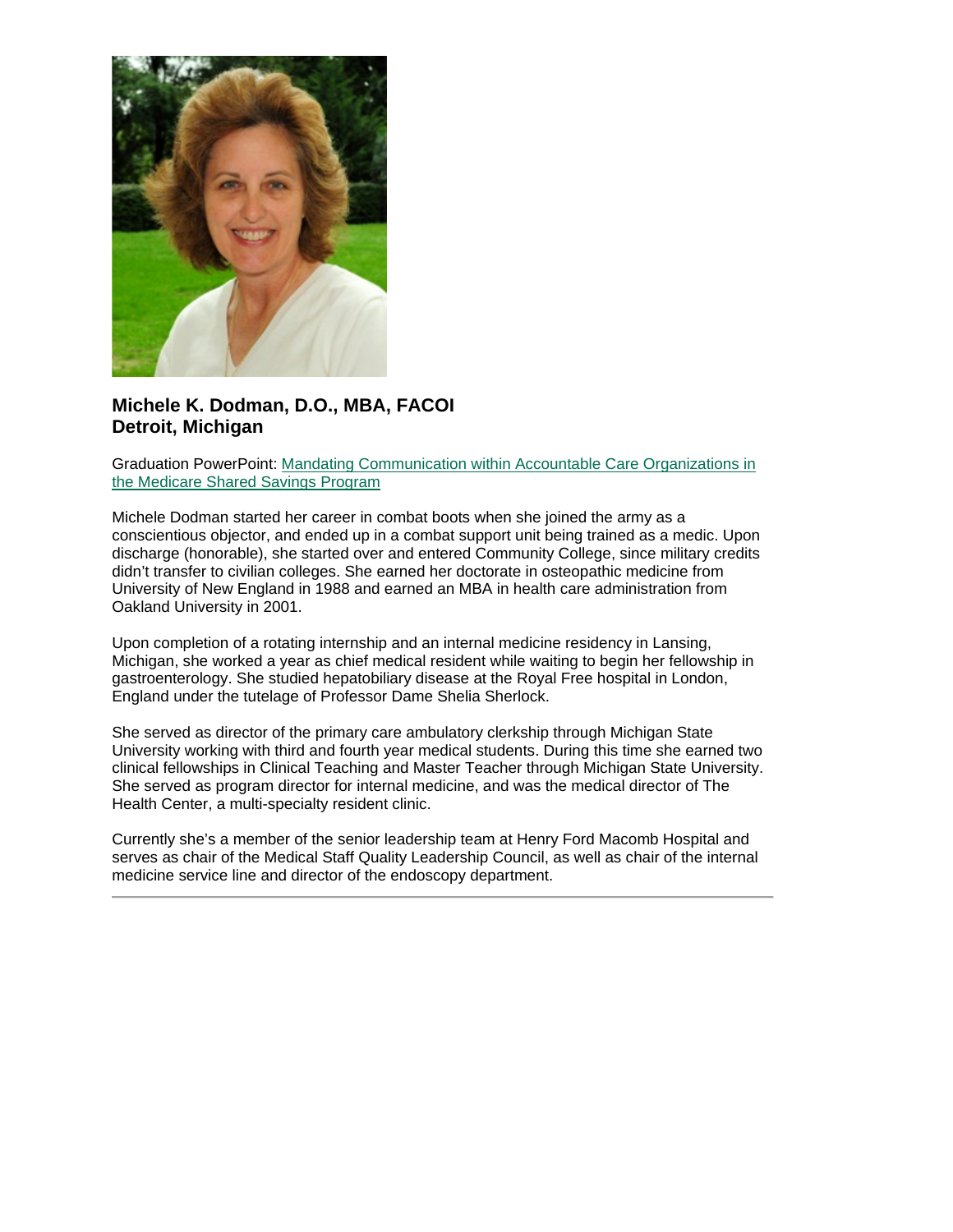

#### **Michele K. Dodman, D.O., MBA, FACOI Detroit, Michigan**

Graduation PowerPoint: [Mandating Communication within Accountable Care Organizations in](https://ohio.box.com/s/aidlfi8eetsx8lxib3r72u64bc86nf58)  [the Medicare Shared Savings Program](https://ohio.box.com/s/aidlfi8eetsx8lxib3r72u64bc86nf58)

Michele Dodman started her career in combat boots when she joined the army as a conscientious objector, and ended up in a combat support unit being trained as a medic. Upon discharge (honorable), she started over and entered Community College, since military credits didn't transfer to civilian colleges. She earned her doctorate in osteopathic medicine from University of New England in 1988 and earned an MBA in health care administration from Oakland University in 2001.

Upon completion of a rotating internship and an internal medicine residency in Lansing, Michigan, she worked a year as chief medical resident while waiting to begin her fellowship in gastroenterology. She studied hepatobiliary disease at the Royal Free hospital in London, England under the tutelage of Professor Dame Shelia Sherlock.

She served as director of the primary care ambulatory clerkship through Michigan State University working with third and fourth year medical students. During this time she earned two clinical fellowships in Clinical Teaching and Master Teacher through Michigan State University. She served as program director for internal medicine, and was the medical director of The Health Center, a multi-specialty resident clinic.

Currently she's a member of the senior leadership team at Henry Ford Macomb Hospital and serves as chair of the Medical Staff Quality Leadership Council, as well as chair of the internal medicine service line and director of the endoscopy department.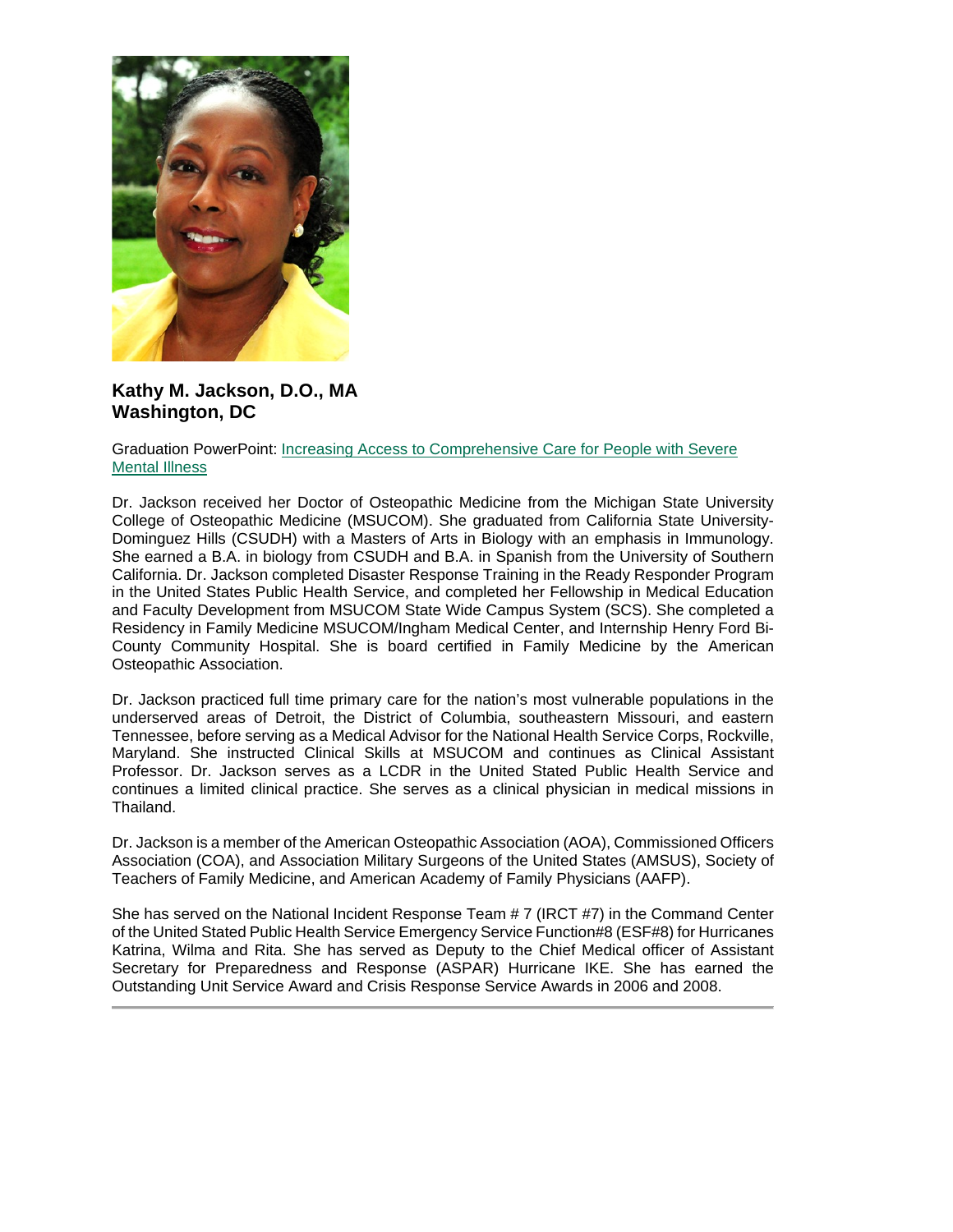

**Kathy M. Jackson, D.O., MA Washington, DC**

#### Graduation PowerPoint: [Increasing Access to Comprehensive Care for People with Severe](https://ohio.box.com/s/7qao10qs3zo9ijl9dx456x04n39jlq1u)  [Mental Illness](https://ohio.box.com/s/7qao10qs3zo9ijl9dx456x04n39jlq1u)

Dr. Jackson received her Doctor of Osteopathic Medicine from the Michigan State University College of Osteopathic Medicine (MSUCOM). She graduated from California State University-Dominguez Hills (CSUDH) with a Masters of Arts in Biology with an emphasis in Immunology. She earned a B.A. in biology from CSUDH and B.A. in Spanish from the University of Southern California. Dr. Jackson completed Disaster Response Training in the Ready Responder Program in the United States Public Health Service, and completed her Fellowship in Medical Education and Faculty Development from MSUCOM State Wide Campus System (SCS). She completed a Residency in Family Medicine MSUCOM/Ingham Medical Center, and Internship Henry Ford Bi-County Community Hospital. She is board certified in Family Medicine by the American Osteopathic Association.

Dr. Jackson practiced full time primary care for the nation's most vulnerable populations in the underserved areas of Detroit, the District of Columbia, southeastern Missouri, and eastern Tennessee, before serving as a Medical Advisor for the National Health Service Corps, Rockville, Maryland. She instructed Clinical Skills at MSUCOM and continues as Clinical Assistant Professor. Dr. Jackson serves as a LCDR in the United Stated Public Health Service and continues a limited clinical practice. She serves as a clinical physician in medical missions in Thailand.

Dr. Jackson is a member of the American Osteopathic Association (AOA), Commissioned Officers Association (COA), and Association Military Surgeons of the United States (AMSUS), Society of Teachers of Family Medicine, and American Academy of Family Physicians (AAFP).

She has served on the National Incident Response Team # 7 (IRCT #7) in the Command Center of the United Stated Public Health Service Emergency Service Function#8 (ESF#8) for Hurricanes Katrina, Wilma and Rita. She has served as Deputy to the Chief Medical officer of Assistant Secretary for Preparedness and Response (ASPAR) Hurricane IKE. She has earned the Outstanding Unit Service Award and Crisis Response Service Awards in 2006 and 2008.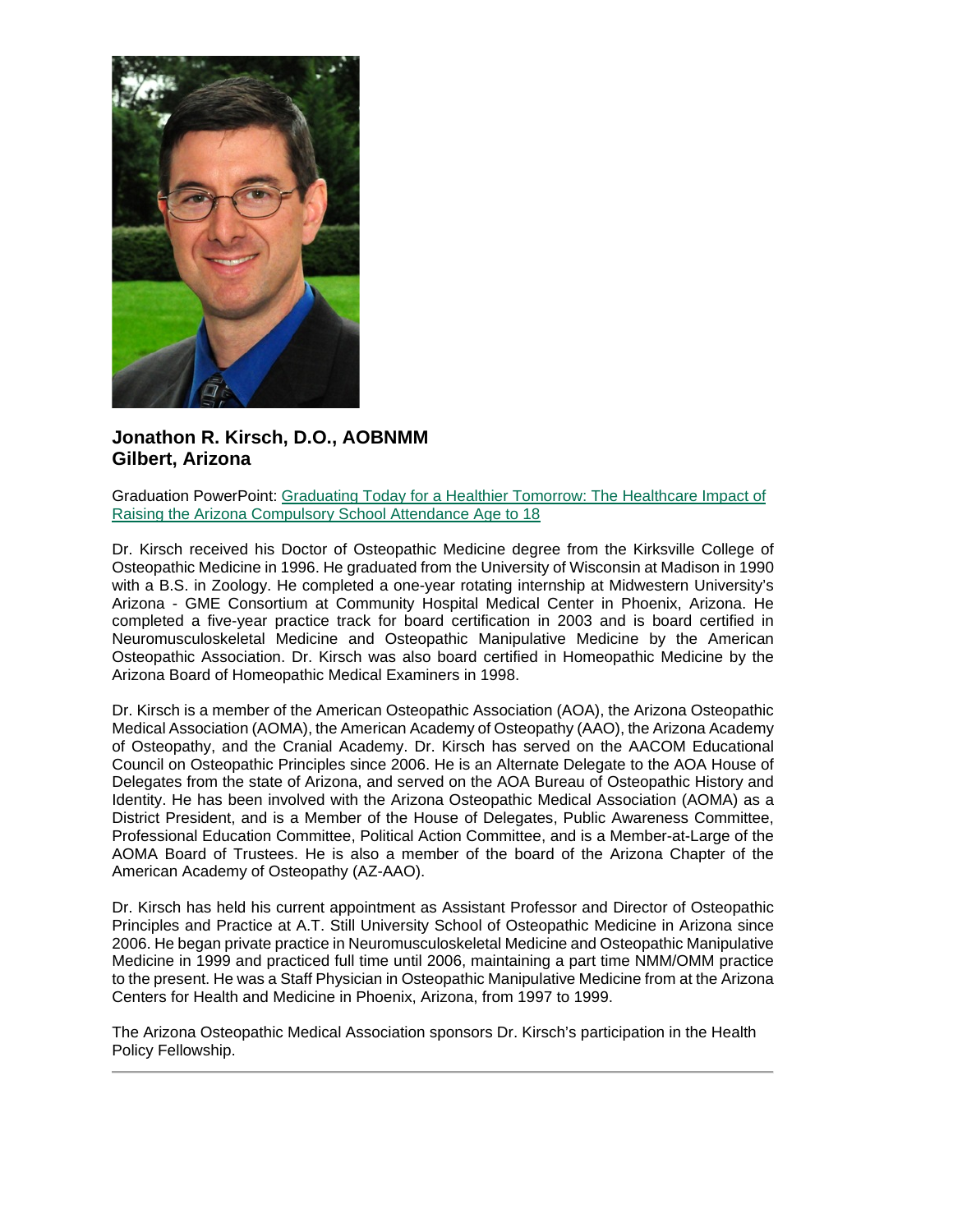

### **Jonathon R. Kirsch, D.O., AOBNMM Gilbert, Arizona**

Graduation PowerPoint: [Graduating Today for a Healthier Tomorrow: The Healthcare Impact of](https://ohio.box.com/s/pzyic4yrn5c9slyafld47uwa5ky959z3)  [Raising the Arizona Compulsory School Attendance Age to 18](https://ohio.box.com/s/pzyic4yrn5c9slyafld47uwa5ky959z3)

Dr. Kirsch received his Doctor of Osteopathic Medicine degree from the Kirksville College of Osteopathic Medicine in 1996. He graduated from the University of Wisconsin at Madison in 1990 with a B.S. in Zoology. He completed a one-year rotating internship at Midwestern University's Arizona - GME Consortium at Community Hospital Medical Center in Phoenix, Arizona. He completed a five-year practice track for board certification in 2003 and is board certified in Neuromusculoskeletal Medicine and Osteopathic Manipulative Medicine by the American Osteopathic Association. Dr. Kirsch was also board certified in Homeopathic Medicine by the Arizona Board of Homeopathic Medical Examiners in 1998.

Dr. Kirsch is a member of the American Osteopathic Association (AOA), the Arizona Osteopathic Medical Association (AOMA), the American Academy of Osteopathy (AAO), the Arizona Academy of Osteopathy, and the Cranial Academy. Dr. Kirsch has served on the AACOM Educational Council on Osteopathic Principles since 2006. He is an Alternate Delegate to the AOA House of Delegates from the state of Arizona, and served on the AOA Bureau of Osteopathic History and Identity. He has been involved with the Arizona Osteopathic Medical Association (AOMA) as a District President, and is a Member of the House of Delegates, Public Awareness Committee, Professional Education Committee, Political Action Committee, and is a Member-at-Large of the AOMA Board of Trustees. He is also a member of the board of the Arizona Chapter of the American Academy of Osteopathy (AZ-AAO).

Dr. Kirsch has held his current appointment as Assistant Professor and Director of Osteopathic Principles and Practice at A.T. Still University School of Osteopathic Medicine in Arizona since 2006. He began private practice in Neuromusculoskeletal Medicine and Osteopathic Manipulative Medicine in 1999 and practiced full time until 2006, maintaining a part time NMM/OMM practice to the present. He was a Staff Physician in Osteopathic Manipulative Medicine from at the Arizona Centers for Health and Medicine in Phoenix, Arizona, from 1997 to 1999.

The Arizona Osteopathic Medical Association sponsors Dr. Kirsch's participation in the Health Policy Fellowship.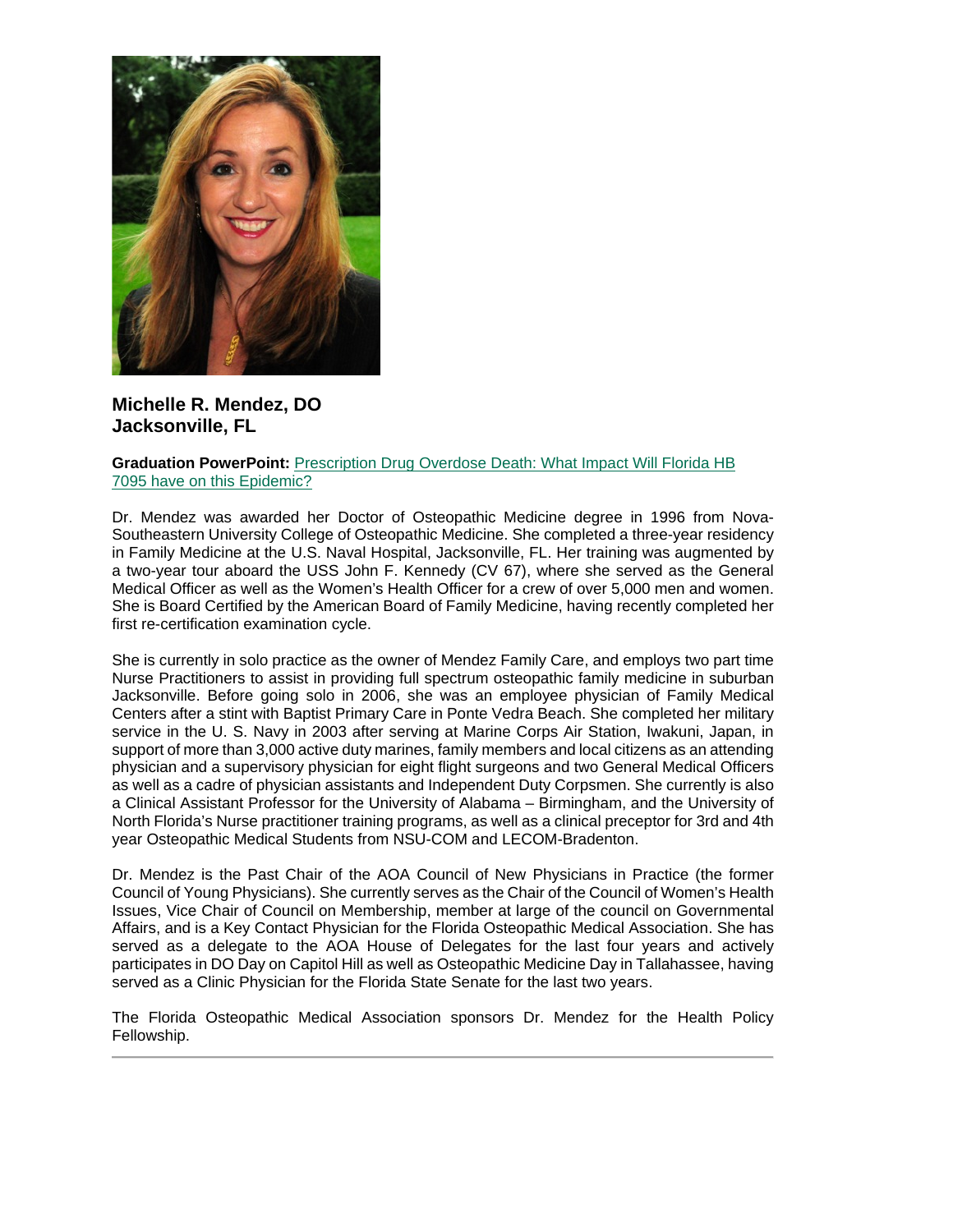

**Michelle R. Mendez, DO Jacksonville, FL**

**Graduation PowerPoint:** [Prescription Drug Overdose Death: What Impact Will Florida HB](https://ohio.box.com/s/0lh8vefedtk6c7c3nrgznegv7gsswnjj)  [7095 have on this Epidemic?](https://ohio.box.com/s/0lh8vefedtk6c7c3nrgznegv7gsswnjj)

Dr. Mendez was awarded her Doctor of Osteopathic Medicine degree in 1996 from Nova-Southeastern University College of Osteopathic Medicine. She completed a three-year residency in Family Medicine at the U.S. Naval Hospital, Jacksonville, FL. Her training was augmented by a two-year tour aboard the USS John F. Kennedy (CV 67), where she served as the General Medical Officer as well as the Women's Health Officer for a crew of over 5,000 men and women. She is Board Certified by the American Board of Family Medicine, having recently completed her first re-certification examination cycle.

She is currently in solo practice as the owner of Mendez Family Care, and employs two part time Nurse Practitioners to assist in providing full spectrum osteopathic family medicine in suburban Jacksonville. Before going solo in 2006, she was an employee physician of Family Medical Centers after a stint with Baptist Primary Care in Ponte Vedra Beach. She completed her military service in the U. S. Navy in 2003 after serving at Marine Corps Air Station, Iwakuni, Japan, in support of more than 3,000 active duty marines, family members and local citizens as an attending physician and a supervisory physician for eight flight surgeons and two General Medical Officers as well as a cadre of physician assistants and Independent Duty Corpsmen. She currently is also a Clinical Assistant Professor for the University of Alabama – Birmingham, and the University of North Florida's Nurse practitioner training programs, as well as a clinical preceptor for 3rd and 4th year Osteopathic Medical Students from NSU-COM and LECOM-Bradenton.

Dr. Mendez is the Past Chair of the AOA Council of New Physicians in Practice (the former Council of Young Physicians). She currently serves as the Chair of the Council of Women's Health Issues, Vice Chair of Council on Membership, member at large of the council on Governmental Affairs, and is a Key Contact Physician for the Florida Osteopathic Medical Association. She has served as a delegate to the AOA House of Delegates for the last four years and actively participates in DO Day on Capitol Hill as well as Osteopathic Medicine Day in Tallahassee, having served as a Clinic Physician for the Florida State Senate for the last two years.

The Florida Osteopathic Medical Association sponsors Dr. Mendez for the Health Policy Fellowship.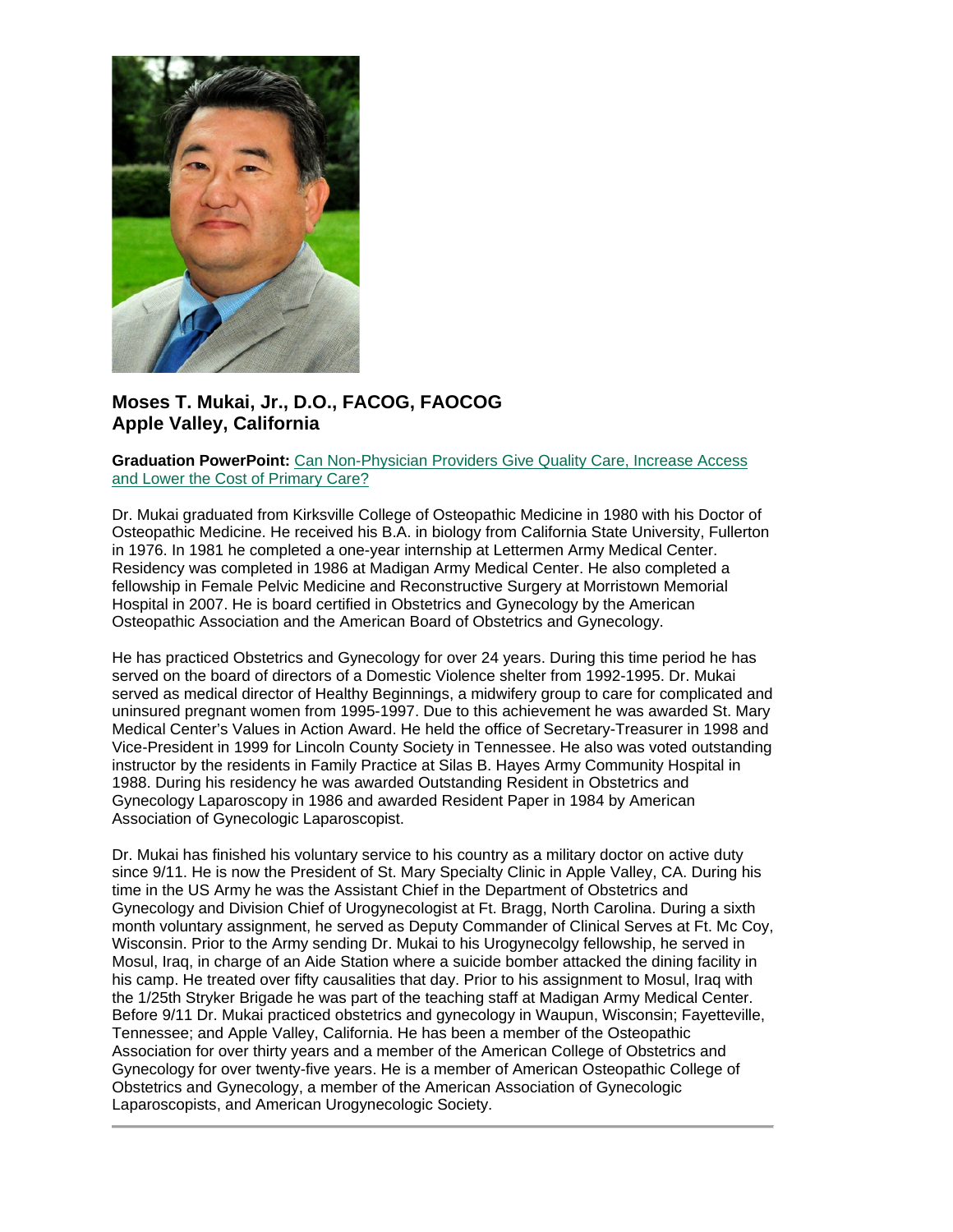

## **Moses T. Mukai, Jr., D.O., FACOG, FAOCOG Apple Valley, California**

#### **Graduation PowerPoint:** [Can Non-Physician Providers Give Quality Care, Increase Access](https://ohio.box.com/s/z7odvnaegf4pbjhff54jtg430xnfhdpd)  [and Lower the Cost of Primary Care?](https://ohio.box.com/s/z7odvnaegf4pbjhff54jtg430xnfhdpd)

Dr. Mukai graduated from Kirksville College of Osteopathic Medicine in 1980 with his Doctor of Osteopathic Medicine. He received his B.A. in biology from California State University, Fullerton in 1976. In 1981 he completed a one-year internship at Lettermen Army Medical Center. Residency was completed in 1986 at Madigan Army Medical Center. He also completed a fellowship in Female Pelvic Medicine and Reconstructive Surgery at Morristown Memorial Hospital in 2007. He is board certified in Obstetrics and Gynecology by the American Osteopathic Association and the American Board of Obstetrics and Gynecology.

He has practiced Obstetrics and Gynecology for over 24 years. During this time period he has served on the board of directors of a Domestic Violence shelter from 1992-1995. Dr. Mukai served as medical director of Healthy Beginnings, a midwifery group to care for complicated and uninsured pregnant women from 1995-1997. Due to this achievement he was awarded St. Mary Medical Center's Values in Action Award. He held the office of Secretary-Treasurer in 1998 and Vice-President in 1999 for Lincoln County Society in Tennessee. He also was voted outstanding instructor by the residents in Family Practice at Silas B. Hayes Army Community Hospital in 1988. During his residency he was awarded Outstanding Resident in Obstetrics and Gynecology Laparoscopy in 1986 and awarded Resident Paper in 1984 by American Association of Gynecologic Laparoscopist.

Dr. Mukai has finished his voluntary service to his country as a military doctor on active duty since 9/11. He is now the President of St. Mary Specialty Clinic in Apple Valley, CA. During his time in the US Army he was the Assistant Chief in the Department of Obstetrics and Gynecology and Division Chief of Urogynecologist at Ft. Bragg, North Carolina. During a sixth month voluntary assignment, he served as Deputy Commander of Clinical Serves at Ft. Mc Coy, Wisconsin. Prior to the Army sending Dr. Mukai to his Urogynecolgy fellowship, he served in Mosul, Iraq, in charge of an Aide Station where a suicide bomber attacked the dining facility in his camp. He treated over fifty causalities that day. Prior to his assignment to Mosul, Iraq with the 1/25th Stryker Brigade he was part of the teaching staff at Madigan Army Medical Center. Before 9/11 Dr. Mukai practiced obstetrics and gynecology in Waupun, Wisconsin; Fayetteville, Tennessee; and Apple Valley, California. He has been a member of the Osteopathic Association for over thirty years and a member of the American College of Obstetrics and Gynecology for over twenty-five years. He is a member of American Osteopathic College of Obstetrics and Gynecology, a member of the American Association of Gynecologic Laparoscopists, and American Urogynecologic Society.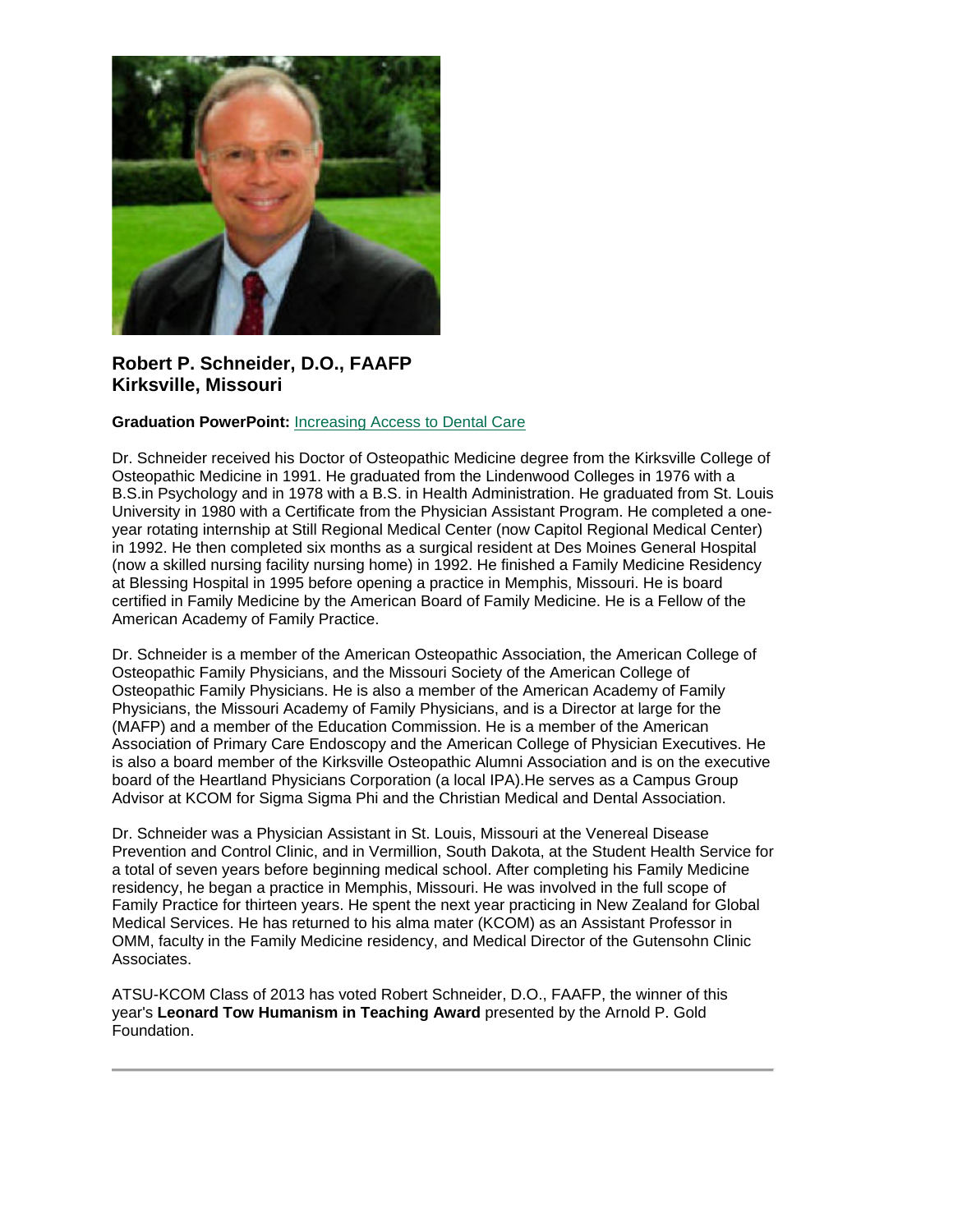

## **Robert P. Schneider, D.O., FAAFP Kirksville, Missouri**

#### **Graduation PowerPoint:** [Increasing Access to Dental Care](https://ohio.box.com/s/j84nowom2z0kpzy4y9ytmll0b0stae09)

Dr. Schneider received his Doctor of Osteopathic Medicine degree from the Kirksville College of Osteopathic Medicine in 1991. He graduated from the Lindenwood Colleges in 1976 with a B.S.in Psychology and in 1978 with a B.S. in Health Administration. He graduated from St. Louis University in 1980 with a Certificate from the Physician Assistant Program. He completed a oneyear rotating internship at Still Regional Medical Center (now Capitol Regional Medical Center) in 1992. He then completed six months as a surgical resident at Des Moines General Hospital (now a skilled nursing facility nursing home) in 1992. He finished a Family Medicine Residency at Blessing Hospital in 1995 before opening a practice in Memphis, Missouri. He is board certified in Family Medicine by the American Board of Family Medicine. He is a Fellow of the American Academy of Family Practice.

Dr. Schneider is a member of the American Osteopathic Association, the American College of Osteopathic Family Physicians, and the Missouri Society of the American College of Osteopathic Family Physicians. He is also a member of the American Academy of Family Physicians, the Missouri Academy of Family Physicians, and is a Director at large for the (MAFP) and a member of the Education Commission. He is a member of the American Association of Primary Care Endoscopy and the American College of Physician Executives. He is also a board member of the Kirksville Osteopathic Alumni Association and is on the executive board of the Heartland Physicians Corporation (a local IPA).He serves as a Campus Group Advisor at KCOM for Sigma Sigma Phi and the Christian Medical and Dental Association.

Dr. Schneider was a Physician Assistant in St. Louis, Missouri at the Venereal Disease Prevention and Control Clinic, and in Vermillion, South Dakota, at the Student Health Service for a total of seven years before beginning medical school. After completing his Family Medicine residency, he began a practice in Memphis, Missouri. He was involved in the full scope of Family Practice for thirteen years. He spent the next year practicing in New Zealand for Global Medical Services. He has returned to his alma mater (KCOM) as an Assistant Professor in OMM, faculty in the Family Medicine residency, and Medical Director of the Gutensohn Clinic Associates.

ATSU-KCOM Class of 2013 has voted Robert Schneider, D.O., FAAFP, the winner of this year's **Leonard Tow Humanism in Teaching Award** presented by the Arnold P. Gold Foundation.